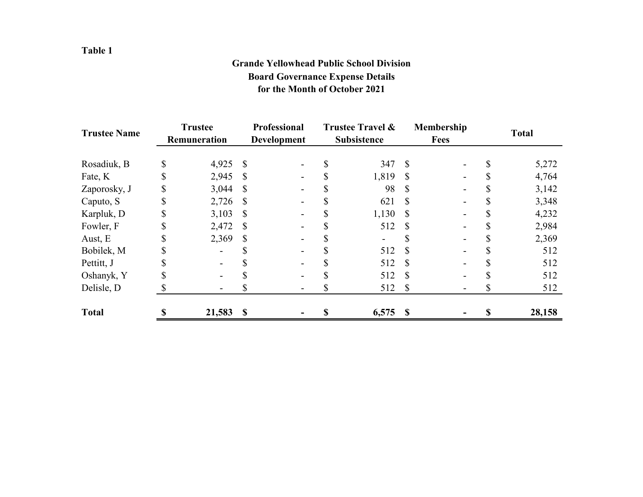## **Table 1**

## **Grande Yellowhead Public School Division Board Governance Expense Details for the Month of October 2021**

| <b>Trustee Name</b> | <b>Trustee</b><br>Remuneration |        | Professional<br><b>Development</b> |  | <b>Trustee Travel &amp;</b><br><b>Subsistence</b> |                | Membership<br>Fees |  | <b>Total</b> |        |
|---------------------|--------------------------------|--------|------------------------------------|--|---------------------------------------------------|----------------|--------------------|--|--------------|--------|
|                     |                                |        |                                    |  |                                                   |                |                    |  |              |        |
| Fate, K             |                                | 2,945  | -S                                 |  |                                                   | 1,819          | <sup>S</sup>       |  | \$           | 4,764  |
| Zaporosky, J        |                                | 3,044  | S                                  |  |                                                   | 98             | S                  |  |              | 3,142  |
| Caputo, S           | \$                             | 2,726  | -S                                 |  |                                                   | 621            | \$                 |  |              | 3,348  |
| Karpluk, D          |                                | 3,103  | S                                  |  |                                                   | 1,130          | <sup>S</sup>       |  |              | 4,232  |
| Fowler, F           |                                | 2,472  | \$                                 |  |                                                   | 512            | S                  |  |              | 2,984  |
| Aust, E             |                                | 2,369  | \$                                 |  |                                                   | $\blacksquare$ |                    |  |              | 2,369  |
| Bobilek, M          |                                |        |                                    |  |                                                   | 512            | <sup>\$</sup>      |  |              | 512    |
| Pettitt, J          |                                |        |                                    |  |                                                   | 512            | <b>S</b>           |  |              | 512    |
| Oshanyk, Y          |                                |        |                                    |  |                                                   | 512            | <sup>\$</sup>      |  |              | 512    |
| Delisle, D          |                                |        |                                    |  |                                                   | 512            | $\mathbb{S}$       |  | ۰D           | 512    |
| <b>Total</b>        |                                | 21,583 | $\boldsymbol{\mathsf{S}}$          |  |                                                   | $6,575$ \$     |                    |  |              | 28,158 |